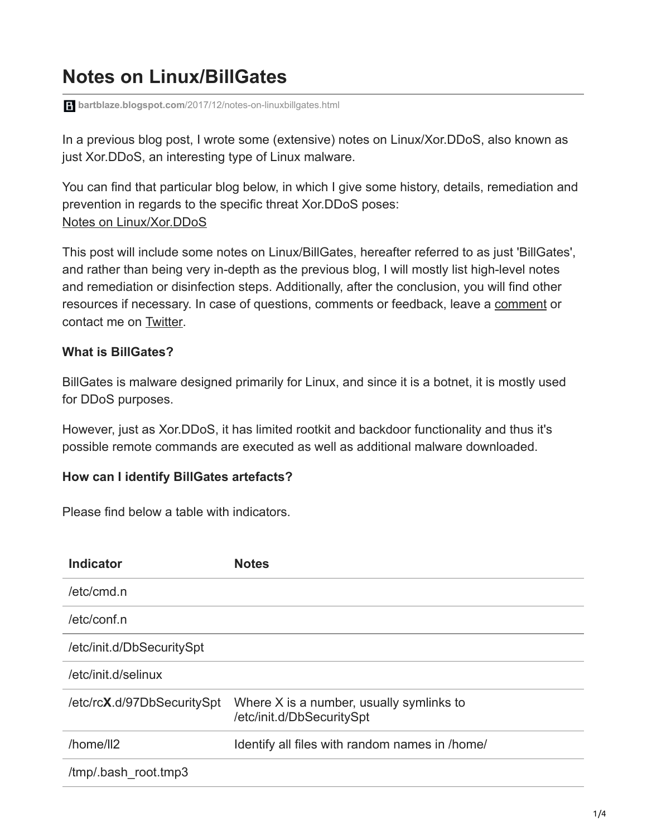# **Notes on Linux/BillGates**

**bartblaze.blogspot.com**[/2017/12/notes-on-linuxbillgates.html](https://bartblaze.blogspot.com/2017/12/notes-on-linuxbillgates.html)

In a previous blog post, I wrote some (extensive) notes on Linux/Xor.DDoS, also known as just Xor.DDoS, an interesting type of Linux malware.

You can find that particular blog below, in which I give some history, details, remediation and prevention in regards to the specific threat Xor.DDoS poses: [Notes on Linux/Xor.DDoS](https://bartblaze.blogspot.co.uk/2015/09/notes-on-linuxxorddos.html)

This post will include some notes on Linux/BillGates, hereafter referred to as just 'BillGates', and rather than being very in-depth as the previous blog, I will mostly list high-level notes and remediation or disinfection steps. Additionally, after the conclusion, you will find other resources if necessary. In case of questions, comments or feedback, leave a [comment](https://bartblaze.blogspot.co.uk/2017/12/notes-on-linuxbillgates.html#comments) or contact me on [Twitter](https://twitter.com/bartblaze).

#### **What is BillGates?**

BillGates is malware designed primarily for Linux, and since it is a botnet, it is mostly used for DDoS purposes.

However, just as Xor.DDoS, it has limited rootkit and backdoor functionality and thus it's possible remote commands are executed as well as additional malware downloaded.

### **How can I identify BillGates artefacts?**

Please find below a table with indicators.

| <b>Indicator</b>           | <b>Notes</b>                                                          |
|----------------------------|-----------------------------------------------------------------------|
| /etc/cmd.n                 |                                                                       |
| /etc/conf.n                |                                                                       |
| /etc/init.d/DbSecuritySpt  |                                                                       |
| /etc/init.d/selinux        |                                                                       |
| /etc/rcX.d/97DbSecuritySpt | Where X is a number, usually symlinks to<br>/etc/init.d/DbSecuritySpt |
| /home/ll2                  | Identify all files with random names in /home/                        |
| /tmp/.bash root.tmp3       |                                                                       |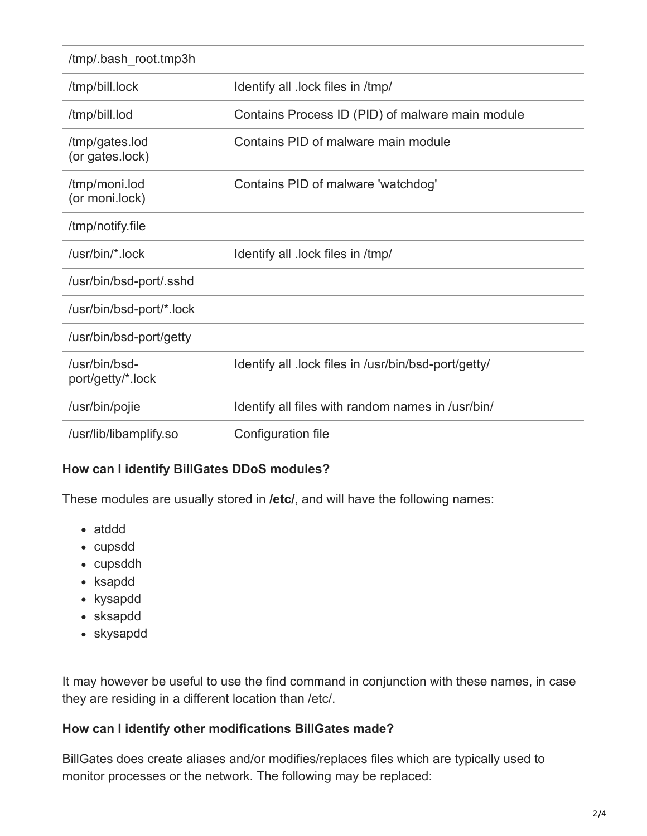| /tmp/.bash root.tmp3h              |                                                      |
|------------------------------------|------------------------------------------------------|
| /tmp/bill.lock                     | Identify all .lock files in /tmp/                    |
| /tmp/bill.lod                      | Contains Process ID (PID) of malware main module     |
| /tmp/gates.lod<br>(or gates.lock)  | Contains PID of malware main module                  |
| /tmp/moni.lod<br>(or moni.lock)    | Contains PID of malware 'watchdog'                   |
| /tmp/notify.file                   |                                                      |
| /usr/bin/*.lock                    | Identify all .lock files in /tmp/                    |
| /usr/bin/bsd-port/.sshd            |                                                      |
| /usr/bin/bsd-port/*.lock           |                                                      |
| /usr/bin/bsd-port/getty            |                                                      |
| /usr/bin/bsd-<br>port/getty/*.lock | Identify all .lock files in /usr/bin/bsd-port/getty/ |
| /usr/bin/pojie                     | Identify all files with random names in /usr/bin/    |
| /usr/lib/libamplify.so             | Configuration file                                   |

#### **How can I identify BillGates DDoS modules?**

These modules are usually stored in **/etc/**, and will have the following names:

- atddd
- cupsdd
- cupsddh
- ksapdd
- kysapdd
- sksapdd
- skysapdd

It may however be useful to use the find command in conjunction with these names, in case they are residing in a different location than /etc/.

#### **How can I identify other modifications BillGates made?**

BillGates does create aliases and/or modifies/replaces files which are typically used to monitor processes or the network. The following may be replaced: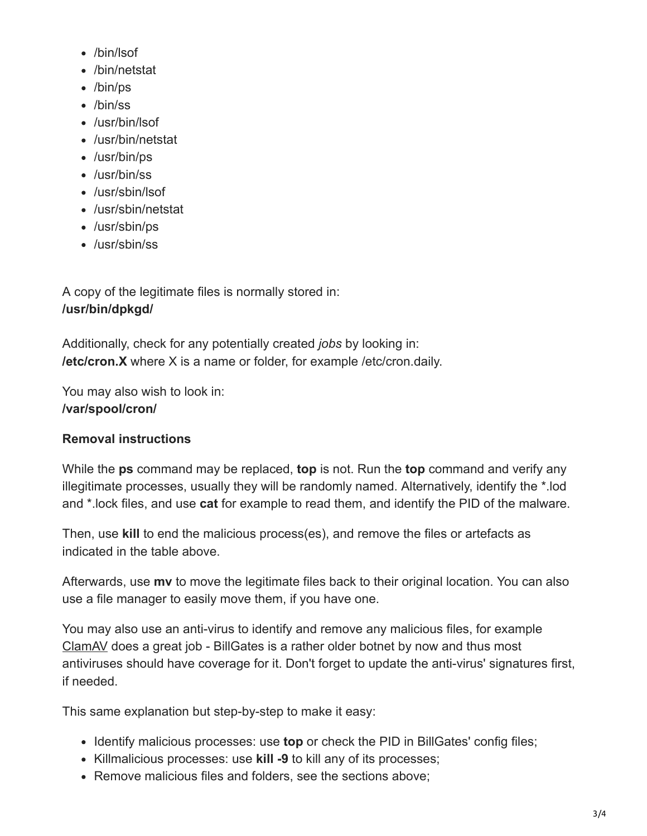- /bin/lsof
- /bin/netstat
- /bin/ps
- /bin/ss
- /usr/bin/lsof
- /usr/bin/netstat
- /usr/bin/ps
- /usr/bin/ss
- /usr/sbin/lsof
- /usr/sbin/netstat
- /usr/sbin/ps
- /usr/sbin/ss

A copy of the legitimate files is normally stored in: **/usr/bin/dpkgd/**

Additionally, check for any potentially created *jobs* by looking in: **/etc/cron.X** where X is a name or folder, for example /etc/cron.daily.

You may also wish to look in: **/var/spool/cron/**

# **Removal instructions**

While the **ps** command may be replaced, **top** is not. Run the **top** command and verify any illegitimate processes, usually they will be randomly named. Alternatively, identify the \*.lod and \*.lock files, and use **cat** for example to read them, and identify the PID of the malware.

Then, use **kill** to end the malicious process(es), and remove the files or artefacts as indicated in the table above.

Afterwards, use **mv** to move the legitimate files back to their original location. You can also use a file manager to easily move them, if you have one.

You may also use an anti-virus to identify and remove any malicious files, for example [ClamAV](https://www.clamav.net/) does a great job - BillGates is a rather older botnet by now and thus most antiviruses should have coverage for it. Don't forget to update the anti-virus' signatures first, if needed.

This same explanation but step-by-step to make it easy:

- Identify malicious processes: use **top** or check the PID in BillGates' config files;
- Killmalicious processes: use **kill -9** to kill any of its processes;
- Remove malicious files and folders, see the sections above;